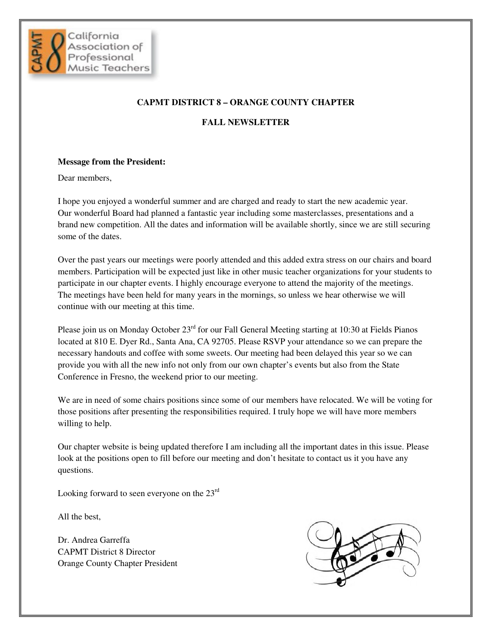

### **CAPMT DISTRICT 8 – ORANGE COUNTY CHAPTER**

### **FALL NEWSLETTER**

#### **Message from the President:**

Dear members,

I hope you enjoyed a wonderful summer and are charged and ready to start the new academic year. Our wonderful Board had planned a fantastic year including some masterclasses, presentations and a brand new competition. All the dates and information will be available shortly, since we are still securing some of the dates.

Over the past years our meetings were poorly attended and this added extra stress on our chairs and board members. Participation will be expected just like in other music teacher organizations for your students to participate in our chapter events. I highly encourage everyone to attend the majority of the meetings. The meetings have been held for many years in the mornings, so unless we hear otherwise we will continue with our meeting at this time.

Please join us on Monday October 23<sup>rd</sup> for our Fall General Meeting starting at 10:30 at Fields Pianos located at 810 E. Dyer Rd., Santa Ana, CA 92705. Please RSVP your attendance so we can prepare the necessary handouts and coffee with some sweets. Our meeting had been delayed this year so we can provide you with all the new info not only from our own chapter's events but also from the State Conference in Fresno, the weekend prior to our meeting.

We are in need of some chairs positions since some of our members have relocated. We will be voting for those positions after presenting the responsibilities required. I truly hope we will have more members willing to help.

Our chapter website is being updated therefore I am including all the important dates in this issue. Please look at the positions open to fill before our meeting and don't hesitate to contact us it you have any questions.

Looking forward to seen everyone on the 23<sup>rd</sup>

All the best,

Dr. Andrea Garreffa CAPMT District 8 Director Orange County Chapter President

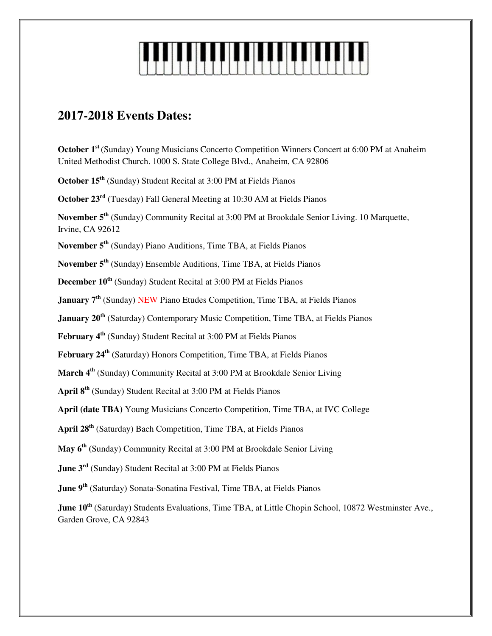

# **2017-2018 Events Dates:**

**October 1st** (Sunday) Young Musicians Concerto Competition Winners Concert at 6:00 PM at Anaheim United Methodist Church. 1000 S. State College Blvd., Anaheim, CA 92806

**October 15th** (Sunday) Student Recital at 3:00 PM at Fields Pianos

**October 23rd** (Tuesday) Fall General Meeting at 10:30 AM at Fields Pianos

**November 5th** (Sunday) Community Recital at 3:00 PM at Brookdale Senior Living. 10 Marquette, Irvine, CA 92612

**November 5th** (Sunday) Piano Auditions, Time TBA, at Fields Pianos

**November 5th** (Sunday) Ensemble Auditions, Time TBA, at Fields Pianos

**December 10th** (Sunday) Student Recital at 3:00 PM at Fields Pianos

**January 7<sup>th</sup>** (Sunday) NEW Piano Etudes Competition, Time TBA, at Fields Pianos

**January 20th** (Saturday) Contemporary Music Competition, Time TBA, at Fields Pianos

**February 4th** (Sunday) Student Recital at 3:00 PM at Fields Pianos

**February 24th (**Saturday) Honors Competition, Time TBA, at Fields Pianos

**March 4th** (Sunday) Community Recital at 3:00 PM at Brookdale Senior Living

**April 8th** (Sunday) Student Recital at 3:00 PM at Fields Pianos

**April (date TBA)** Young Musicians Concerto Competition, Time TBA, at IVC College

**April 28th** (Saturday) Bach Competition, Time TBA, at Fields Pianos

**May 6th (**Sunday) Community Recital at 3:00 PM at Brookdale Senior Living

**June 3rd** (Sunday) Student Recital at 3:00 PM at Fields Pianos

**June 9th** (Saturday) Sonata-Sonatina Festival, Time TBA, at Fields Pianos

**June 10<sup>th</sup>** (Saturday) Students Evaluations, Time TBA, at Little Chopin School, 10872 Westminster Ave., Garden Grove, CA 92843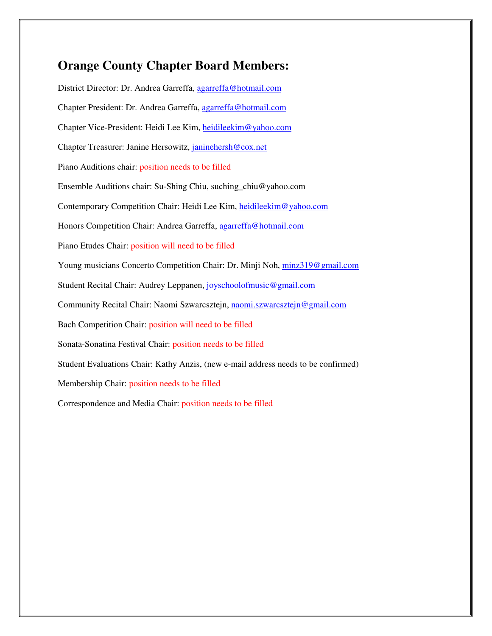## **Orange County Chapter Board Members:**

District Director: Dr. Andrea Garreffa, agarreffa@hotmail.com Chapter President: Dr. Andrea Garreffa, agarreffa@hotmail.com Chapter Vice-President: Heidi Lee Kim, heidileekim@yahoo.com Chapter Treasurer: Janine Hersowitz, janinehersh@cox.net Piano Auditions chair: position needs to be filled Ensemble Auditions chair: Su-Shing Chiu, suching\_chiu@yahoo.com Contemporary Competition Chair: Heidi Lee Kim, heidileekim@yahoo.com Honors Competition Chair: Andrea Garreffa, agarreffa@hotmail.com Piano Etudes Chair: position will need to be filled Young musicians Concerto Competition Chair: Dr. Minji Noh, minz319@gmail.com Student Recital Chair: Audrey Leppanen, joyschoolofmusic@gmail.com Community Recital Chair: Naomi Szwarcsztejn, naomi.szwarcsztejn@gmail.com Bach Competition Chair: position will need to be filled Sonata-Sonatina Festival Chair: position needs to be filled Student Evaluations Chair: Kathy Anzis, (new e-mail address needs to be confirmed) Membership Chair: position needs to be filled Correspondence and Media Chair: position needs to be filled